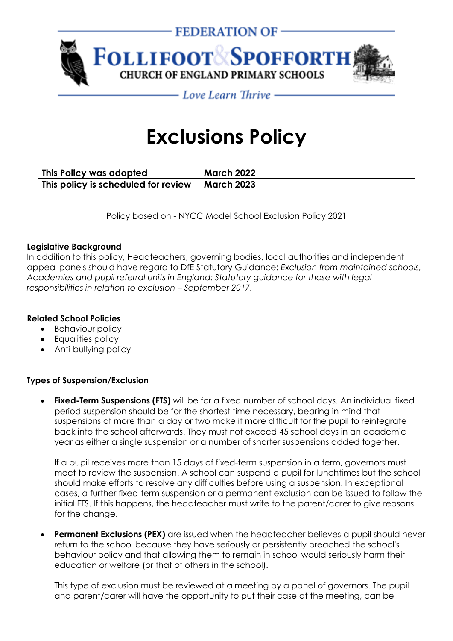

– Love Learn Thrive –

# **Exclusions Policy**

| This Policy was adopted             | <b>March 2022</b> |
|-------------------------------------|-------------------|
| This policy is scheduled for review | <b>March 2023</b> |

Policy based on - NYCC Model School Exclusion Policy 2021

#### **Legislative Background**

In addition to this policy, Headteachers, governing bodies, local authorities and independent appeal panels should have regard to DfE Statutory Guidance: *Exclusion from maintained schools, Academies and pupil referral units in England: Statutory guidance for those with legal responsibilities in relation to exclusion – September 2017.* 

### **Related School Policies**

- Behaviour policy
- Equalities policy
- Anti-bullying policy

## **Types of Suspension/Exclusion**

• **Fixed-Term Suspensions (FTS)** will be for a fixed number of school days. An individual fixed period suspension should be for the shortest time necessary, bearing in mind that suspensions of more than a day or two make it more difficult for the pupil to reintegrate back into the school afterwards. They must not exceed 45 school days in an academic year as either a single suspension or a number of shorter suspensions added together.

If a pupil receives more than 15 days of fixed-term suspension in a term, governors must meet to review the suspension. A school can suspend a pupil for lunchtimes but the school should make efforts to resolve any difficulties before using a suspension. In exceptional cases, a further fixed-term suspension or a permanent exclusion can be issued to follow the initial FTS. If this happens, the headteacher must write to the parent/carer to give reasons for the change.

• **Permanent Exclusions (PEX)** are issued when the headteacher believes a pupil should never return to the school because they have seriously or persistently breached the school's behaviour policy and that allowing them to remain in school would seriously harm their education or welfare (or that of others in the school).

This type of exclusion must be reviewed at a meeting by a panel of governors. The pupil and parent/carer will have the opportunity to put their case at the meeting, can be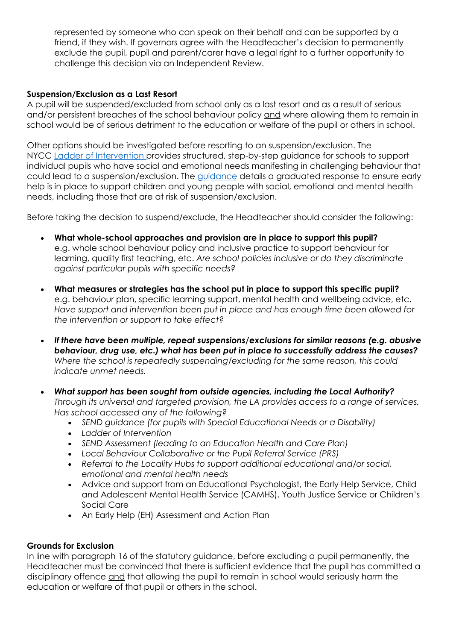represented by someone who can speak on their behalf and can be supported by a friend, if they wish. If governors agree with the Headteacher's decision to permanently exclude the pupil, pupil and parent/carer have a legal right to a further opportunity to challenge this decision via an Independent Review.

#### **Suspension/Exclusion as a Last Resort**

A pupil will be suspended/excluded from school only as a last resort and as a result of serious and/or persistent breaches of the school behaviour policy and where allowing them to remain in school would be of serious detriment to the education or welfare of the pupil or others in school.

Other options should be investigated before resorting to an suspension/exclusion. The NYCC [Ladder of Intervention p](https://cyps.northyorks.gov.uk/sites/default/files/Supporting%20Children%20and%20Families/SEND/Exclusions/75036%20Ladder%20of%20Intervention%20final.pdf)rovides structured, step-by-step guidance for schools to support individual pupils who have social and emotional needs manifesting in challenging behaviour that could lead to a suspension/exclusion. The [guidance](https://cyps.northyorks.gov.uk/sites/default/files/Supporting%20Children%20and%20Families/SEND/Exclusions/76099_Intervention%20guidance_interactive%20final.pdf) details a graduated response to ensure early help is in place to support children and young people with social, emotional and mental health needs, including those that are at risk of suspension/exclusion.

Before taking the decision to suspend/exclude, the Headteacher should consider the following:

- **What whole-school approaches and provision are in place to support this pupil?** e.g. whole school behaviour policy and inclusive practice to support behaviour for learning, quality first teaching, etc. *Are school policies inclusive or do they discriminate against particular pupils with specific needs?*
- **What measures or strategies has the school put in place to support this specific pupil?** e.g. behaviour plan, specific learning support, mental health and wellbeing advice, etc. *Have support and intervention been put in place and has enough time been allowed for the intervention or support to take effect?*
- *If there have been multiple, repeat suspensions/exclusions for similar reasons (e.g. abusive behaviour, drug use, etc.) what has been put in place to successfully address the causes? Where the school is repeatedly suspending/excluding for the same reason, this could indicate unmet needs.*
- *What support has been sought from outside agencies, including the Local Authority? Through its universal and targeted provision, the LA provides access to a range of services. Has school accessed any of the following?*
	- *SEND guidance (for pupils with Special Educational Needs or a Disability)*
	- *Ladder of Intervention*
	- *SEND Assessment (leading to an Education Health and Care Plan)*
	- *Local Behaviour Collaborative or the Pupil Referral Service (PRS)*
	- *Referral to the Locality Hubs to support additional educational and/or social, emotional and mental health needs*
	- Advice and support from an Educational Psychologist, the Early Help Service, Child and Adolescent Mental Health Service (CAMHS), Youth Justice Service or Children's Social Care
	- An Early Help (EH) Assessment and Action Plan

## **Grounds for Exclusion**

In line with paragraph 16 of the statutory guidance, before excluding a pupil permanently, the Headteacher must be convinced that there is sufficient evidence that the pupil has committed a disciplinary offence and that allowing the pupil to remain in school would seriously harm the education or welfare of that pupil or others in the school.